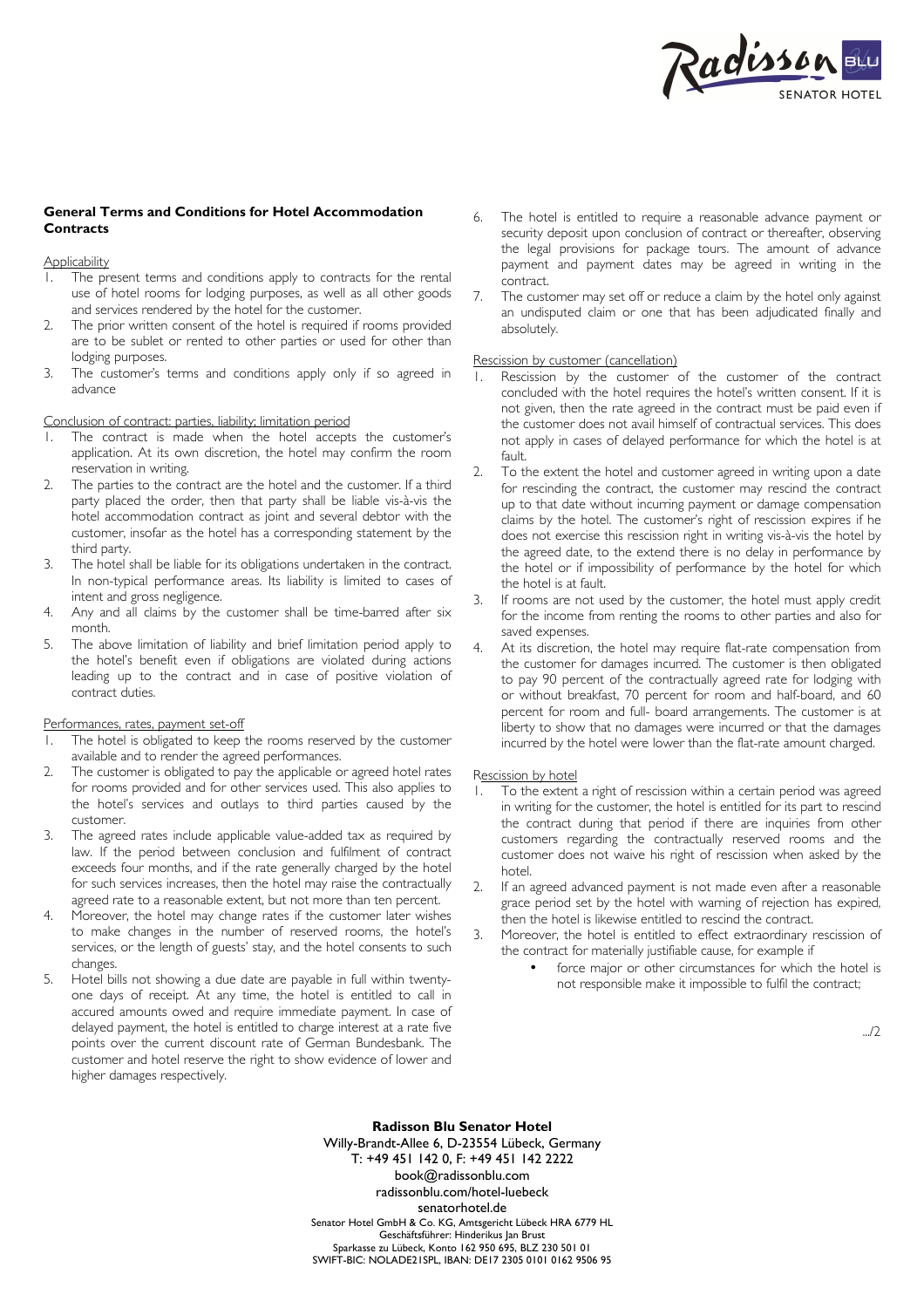

# **General Terms and Conditions for Hotel Accommodation Contracts**

**Applicability** 

- 1. The present terms and conditions apply to contracts for the rental use of hotel rooms for lodging purposes, as well as all other goods and services rendered by the hotel for the customer.
- 2. The prior written consent of the hotel is required if rooms provided are to be sublet or rented to other parties or used for other than lodging purposes.
- 3. The customer's terms and conditions apply only if so agreed in advance

## Conclusion of contract: parties, liability; limitation period

- 1. The contract is made when the hotel accepts the customer's application. At its own discretion, the hotel may confirm the room reservation in writing.
- 2. The parties to the contract are the hotel and the customer. If a third party placed the order, then that party shall be liable vis-à-vis the hotel accommodation contract as joint and several debtor with the customer, insofar as the hotel has a corresponding statement by the third party.
- 3. The hotel shall be liable for its obligations undertaken in the contract. In non-typical performance areas. Its liability is limited to cases of intent and gross negligence.
- 4. Any and all claims by the customer shall be time-barred after six month.
- 5. The above limitation of liability and brief limitation period apply to the hotel's benefit even if obligations are violated during actions leading up to the contract and in case of positive violation of contract duties.

## Performances, rates, payment set-off

- 1. The hotel is obligated to keep the rooms reserved by the customer available and to render the agreed performances.
- 2. The customer is obligated to pay the applicable or agreed hotel rates for rooms provided and for other services used. This also applies to the hotel's services and outlays to third parties caused by the customer.
- 3. The agreed rates include applicable value-added tax as required by law. If the period between conclusion and fulfilment of contract exceeds four months, and if the rate generally charged by the hotel for such services increases, then the hotel may raise the contractually agreed rate to a reasonable extent, but not more than ten percent.
- Moreover, the hotel may change rates if the customer later wishes to make changes in the number of reserved rooms, the hotel's services, or the length of guests' stay, and the hotel consents to such changes.
- 5. Hotel bills not showing a due date are payable in full within twentyone days of receipt. At any time, the hotel is entitled to call in accured amounts owed and require immediate payment. In case of delayed payment, the hotel is entitled to charge interest at a rate five points over the current discount rate of German Bundesbank. The customer and hotel reserve the right to show evidence of lower and higher damages respectively.
- 6. The hotel is entitled to require a reasonable advance payment or security deposit upon conclusion of contract or thereafter, observing the legal provisions for package tours. The amount of advance payment and payment dates may be agreed in writing in the contract.
- 7. The customer may set off or reduce a claim by the hotel only against an undisputed claim or one that has been adjudicated finally and absolutely.

### Rescission by customer (cancellation)

- 1. Rescission by the customer of the customer of the contract concluded with the hotel requires the hotel's written consent. If it is not given, then the rate agreed in the contract must be paid even if the customer does not avail himself of contractual services. This does not apply in cases of delayed performance for which the hotel is at fault.
- 2. To the extent the hotel and customer agreed in writing upon a date for rescinding the contract, the customer may rescind the contract up to that date without incurring payment or damage compensation claims by the hotel. The customer's right of rescission expires if he does not exercise this rescission right in writing vis-à-vis the hotel by the agreed date, to the extend there is no delay in performance by the hotel or if impossibility of performance by the hotel for which the hotel is at fault.
- 3. If rooms are not used by the customer, the hotel must apply credit for the income from renting the rooms to other parties and also for saved expenses.
- 4. At its discretion, the hotel may require flat-rate compensation from the customer for damages incurred. The customer is then obligated to pay 90 percent of the contractually agreed rate for lodging with or without breakfast, 70 percent for room and half-board, and 60 percent for room and full- board arrangements. The customer is at liberty to show that no damages were incurred or that the damages incurred by the hotel were lower than the flat-rate amount charged.

#### Rescission by hotel

- 1. To the extent a right of rescission within a certain period was agreed in writing for the customer, the hotel is entitled for its part to rescind the contract during that period if there are inquiries from other customers regarding the contractually reserved rooms and the customer does not waive his right of rescission when asked by the hotel.
- 2. If an agreed advanced payment is not made even after a reasonable grace period set by the hotel with warning of rejection has expired, then the hotel is likewise entitled to rescind the contract.
- 3. Moreover, the hotel is entitled to effect extraordinary rescission of the contract for materially justifiable cause, for example if
	- force major or other circumstances for which the hotel is not responsible make it impossible to fulfil the contract;

.../2

**Radisson Blu Senator Hotel**  Willy-Brandt-Allee 6, D-23554 Lübeck, Germany T: +49 451 142 0, F: +49 451 142 2222 book@radissonblu.com radissonblu.com/hotel-luebeck senatorhotel.de Senator Hotel GmbH & Co. KG, Amtsgericht Lübeck HRA 6779 HL Geschäftsführer: Hinderikus Jan Brust Sparkasse zu Lübeck, Konto 162 950 695, BLZ 230 501 01 SWIFT-BIC: NOLADE21SPL, IBAN: DE17 2305 0101 0162 9506 95